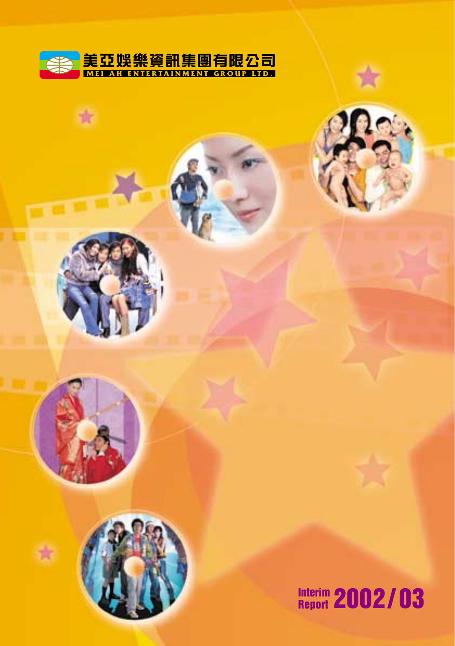

ń



**Interim Report 2002 / 03**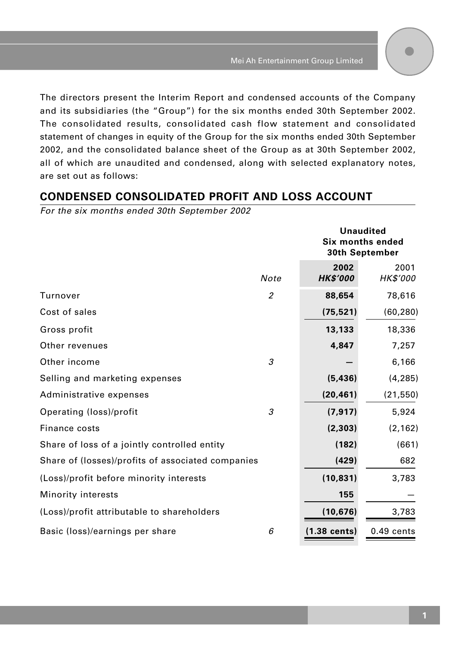The directors present the Interim Report and condensed accounts of the Company and its subsidiaries (the "Group") for the six months ended 30th September 2002. The consolidated results, consolidated cash flow statement and consolidated statement of changes in equity of the Group for the six months ended 30th September 2002, and the consolidated balance sheet of the Group as at 30th September 2002, all of which are unaudited and condensed, along with selected explanatory notes, are set out as follows:

## **CONDENSED CONSOLIDATED PROFIT AND LOSS ACCOUNT**

For the six months ended 30th September 2002

|                                                   |                | <b>Unaudited</b><br>Six months ended<br>30th September |                         |
|---------------------------------------------------|----------------|--------------------------------------------------------|-------------------------|
|                                                   | Note           | 2002<br><b>HK\$'000</b>                                | 2001<br><b>HK\$'000</b> |
| Turnover                                          | $\overline{2}$ | 88,654                                                 | 78,616                  |
| Cost of sales                                     |                | (75, 521)                                              | (60, 280)               |
| Gross profit                                      |                | 13,133                                                 | 18,336                  |
| Other revenues                                    |                | 4,847                                                  | 7,257                   |
| Other income                                      | 3              |                                                        | 6,166                   |
| Selling and marketing expenses                    |                | (5, 436)                                               | (4, 285)                |
| Administrative expenses                           |                | (20, 461)                                              | (21, 550)               |
| Operating (loss)/profit                           | 3              | (7, 917)                                               | 5,924                   |
| Finance costs                                     |                | (2, 303)                                               | (2, 162)                |
| Share of loss of a jointly controlled entity      |                | (182)                                                  | (661)                   |
| Share of (losses)/profits of associated companies |                | (429)                                                  | 682                     |
| (Loss)/profit before minority interests           |                | (10, 831)                                              | 3,783                   |
| Minority interests                                |                | 155                                                    |                         |
| (Loss)/profit attributable to shareholders        |                | (10, 676)                                              | 3,783                   |
| Basic (loss)/earnings per share                   | 6              | $(1.38 \text{ cents})$                                 | $0.49$ cents            |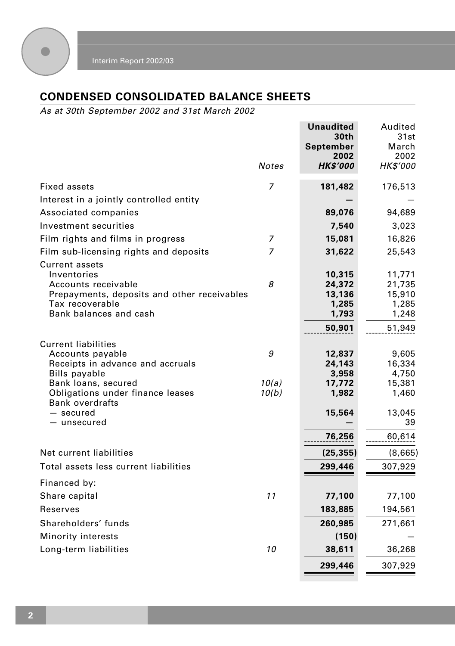

# **CONDENSED CONSOLIDATED BALANCE SHEETS**

As at 30th September 2002 and 31st March 2002

|                                                                                                                                                  |                | Unaudited<br>30th<br>September<br>2002                 | Audited<br>31st<br>March<br>2002                       |
|--------------------------------------------------------------------------------------------------------------------------------------------------|----------------|--------------------------------------------------------|--------------------------------------------------------|
|                                                                                                                                                  | Notes          | <b>HK\$'000</b>                                        | HK\$'000                                               |
| Fixed assets                                                                                                                                     | 7              | 181,482                                                | 176,513                                                |
| Interest in a jointly controlled entity                                                                                                          |                |                                                        |                                                        |
| Associated companies                                                                                                                             |                | 89,076                                                 | 94,689                                                 |
| Investment securities                                                                                                                            |                | 7,540                                                  | 3,023                                                  |
| Film rights and films in progress                                                                                                                | 7              | 15,081                                                 | 16,826                                                 |
| Film sub-licensing rights and deposits                                                                                                           | 7              | 31,622                                                 | 25,543                                                 |
| Current assets<br>Inventories<br>Accounts receivable<br>Prepayments, deposits and other receivables<br>Tax recoverable<br>Bank balances and cash | 8              | 10,315<br>24,372<br>13,136<br>1,285<br>1,793<br>50,901 | 11,771<br>21,735<br>15,910<br>1,285<br>1,248<br>51,949 |
| <b>Current liabilities</b><br>Accounts payable<br>Receipts in advance and accruals<br><b>Bills payable</b>                                       | 9              | 12,837<br>24,143<br>3,958                              | 9,605<br>16,334<br>4,750                               |
| Bank loans, secured<br>Obligations under finance leases<br><b>Bank overdrafts</b><br>— secured<br>- unsecured                                    | 10(a)<br>10(b) | 17,772<br>1,982<br>15,564<br>76,256                    | 15,381<br>1,460<br>13,045<br>39<br>60,614              |
| Net current liabilities                                                                                                                          |                | (25, 355)                                              | (8,665)                                                |
| Total assets less current liabilities                                                                                                            |                | 299,446                                                | 307,929                                                |
| Financed by:                                                                                                                                     |                |                                                        |                                                        |
| Share capital                                                                                                                                    | 11             | 77,100                                                 | 77,100                                                 |
| Reserves                                                                                                                                         |                | 183,885                                                | 194,561                                                |
| Shareholders' funds                                                                                                                              |                | 260,985                                                | 271,661                                                |
| <b>Minority interests</b>                                                                                                                        |                | (150)                                                  |                                                        |
| Long-term liabilities                                                                                                                            | 10             | 38,611                                                 | 36,268                                                 |
|                                                                                                                                                  |                | 299,446                                                | 307,929                                                |
|                                                                                                                                                  |                |                                                        |                                                        |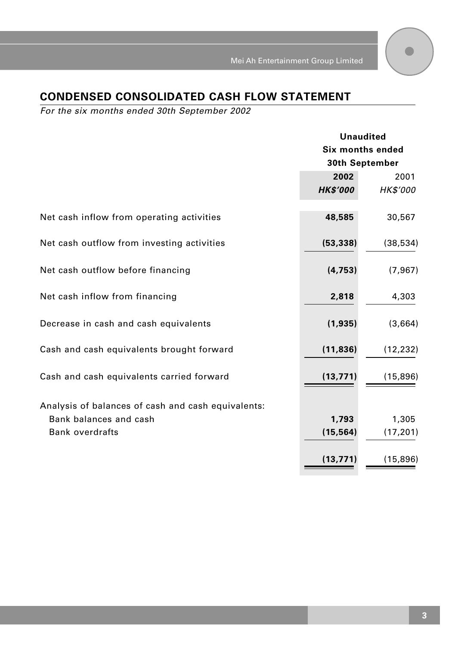# **CONDENSED CONSOLIDATED CASH FLOW STATEMENT**

For the six months ended 30th September 2002

|                                                    | <b>Unaudited</b><br><b>Six months ended</b><br>30th September |                 |
|----------------------------------------------------|---------------------------------------------------------------|-----------------|
|                                                    |                                                               |                 |
|                                                    |                                                               |                 |
|                                                    | 2002                                                          | 2001            |
|                                                    | <b>HK\$'000</b>                                               | <b>HK\$'000</b> |
| Net cash inflow from operating activities          | 48,585                                                        | 30,567          |
| Net cash outflow from investing activities         | (53, 338)                                                     | (38, 534)       |
| Net cash outflow before financing                  | (4, 753)                                                      | (7, 967)        |
| Net cash inflow from financing                     | 2,818                                                         | 4,303           |
| Decrease in cash and cash equivalents              | (1,935)                                                       | (3,664)         |
| Cash and cash equivalents brought forward          | (11, 836)                                                     | (12, 232)       |
| Cash and cash equivalents carried forward          | (13, 771)                                                     | (15, 896)       |
| Analysis of balances of cash and cash equivalents: |                                                               |                 |
| Bank balances and cash                             | 1,793                                                         | 1,305           |
| <b>Bank overdrafts</b>                             | (15, 564)                                                     | (17, 201)       |
|                                                    | (13, 771)                                                     | (15,896)        |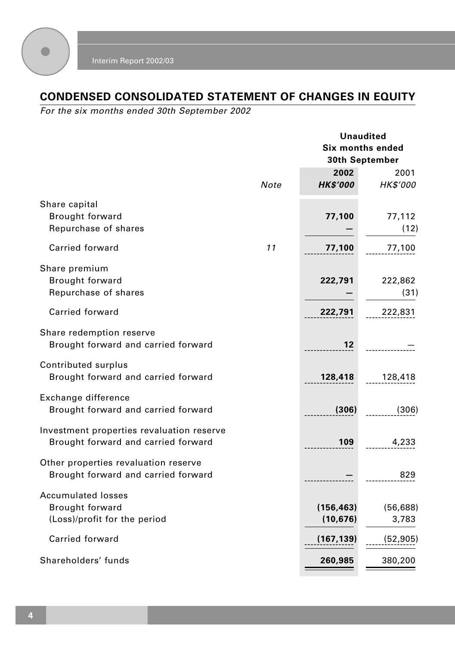

# **CONDENSED CONSOLIDATED STATEMENT OF CHANGES IN EQUITY**

For the six months ended 30th September 2002

|                                                                                     |      | <b>Unaudited</b><br><b>Six months ended</b><br>30th September |                    |
|-------------------------------------------------------------------------------------|------|---------------------------------------------------------------|--------------------|
|                                                                                     | Note | 2002<br><b>HK\$'000</b>                                       | 2001<br>HK\$'000   |
| Share capital<br><b>Brought forward</b><br>Repurchase of shares                     |      | 77,100                                                        | 77,112<br>(12)     |
| Carried forward                                                                     | 11   | 77,100                                                        | 77,100             |
| Share premium<br>Brought forward<br>Repurchase of shares                            |      | 222,791                                                       | 222,862<br>(31)    |
| Carried forward                                                                     |      | 222,791                                                       | 222,831            |
| Share redemption reserve<br>Brought forward and carried forward                     |      | 12                                                            |                    |
| Contributed surplus<br>Brought forward and carried forward                          |      | 128,418                                                       | 128,418            |
| Exchange difference<br>Brought forward and carried forward                          |      | (306)                                                         | (306)              |
| Investment properties revaluation reserve<br>Brought forward and carried forward    |      | 109                                                           | 4,233              |
| Other properties revaluation reserve<br>Brought forward and carried forward         |      |                                                               | 829                |
| <b>Accumulated losses</b><br><b>Brought forward</b><br>(Loss)/profit for the period |      | (156, 463)<br>(10, 676)                                       | (56, 688)<br>3,783 |
| Carried forward                                                                     |      | (167.139)                                                     | (52, 905)          |
| Shareholders' funds                                                                 |      | 260,985                                                       | 380,200            |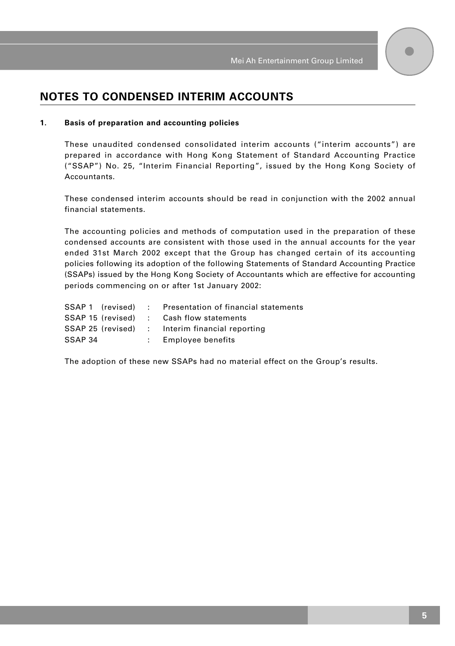## **NOTES TO CONDENSED INTERIM ACCOUNTS**

#### **1. Basis of preparation and accounting policies**

These unaudited condensed consolidated interim accounts ("interim accounts") are prepared in accordance with Hong Kong Statement of Standard Accounting Practice ("SSAP") No. 25, "Interim Financial Reporting", issued by the Hong Kong Society of Accountants.

These condensed interim accounts should be read in conjunction with the 2002 annual financial statements.

The accounting policies and methods of computation used in the preparation of these condensed accounts are consistent with those used in the annual accounts for the year ended 31st March 2002 except that the Group has changed certain of its accounting policies following its adoption of the following Statements of Standard Accounting Practice (SSAPs) issued by the Hong Kong Society of Accountants which are effective for accounting periods commencing on or after 1st January 2002:

|         |  | SSAP 1 (revised) : Presentation of financial statements |
|---------|--|---------------------------------------------------------|
|         |  | SSAP 15 (revised) : Cash flow statements                |
|         |  | SSAP 25 (revised) : Interim financial reporting         |
| SSAP 34 |  | Employee benefits                                       |

The adoption of these new SSAPs had no material effect on the Group's results.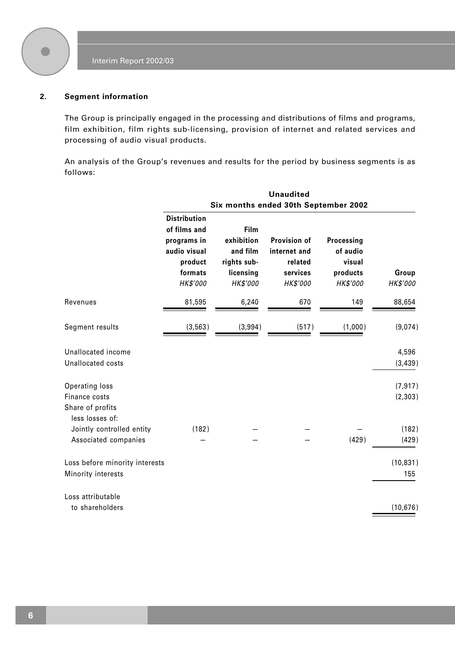

#### **2. Segment information**

The Group is principally engaged in the processing and distributions of films and programs, film exhibition, film rights sub-licensing, provision of internet and related services and processing of audio visual products.

An analysis of the Group's revenues and results for the period by business segments is as follows:

|                                                                      |                                                                                                      |                                                                        | <b>Unaudited</b>                                                       |                                                          |                      |
|----------------------------------------------------------------------|------------------------------------------------------------------------------------------------------|------------------------------------------------------------------------|------------------------------------------------------------------------|----------------------------------------------------------|----------------------|
|                                                                      |                                                                                                      |                                                                        | Six months ended 30th September 2002                                   |                                                          |                      |
|                                                                      | <b>Distribution</b><br>of films and<br>programs in<br>audio visual<br>product<br>formats<br>HK\$'000 | Film<br>exhibition<br>and film<br>rights sub-<br>licensing<br>HK\$'000 | <b>Provision of</b><br>internet and<br>related<br>services<br>HK\$'000 | Processing<br>of audio<br>visual<br>products<br>HK\$'000 | Group<br>HK\$'000    |
| Revenues                                                             | 81,595                                                                                               | 6,240                                                                  | 670                                                                    | 149                                                      | 88,654               |
| Segment results                                                      | (3, 563)                                                                                             | (3,994)                                                                | (517)                                                                  | (1,000)                                                  | (9,074)              |
| Unallocated income<br>Unallocated costs                              |                                                                                                      |                                                                        |                                                                        |                                                          | 4,596<br>(3, 439)    |
| Operating loss<br>Finance costs<br>Share of profits                  |                                                                                                      |                                                                        |                                                                        |                                                          | (7, 917)<br>(2, 303) |
| less losses of:<br>Jointly controlled entity<br>Associated companies | (182)                                                                                                |                                                                        |                                                                        | (429)                                                    | (182)<br>(429)       |
| Loss before minority interests<br>Minority interests                 |                                                                                                      |                                                                        |                                                                        |                                                          | (10, 831)<br>155     |
| Loss attributable<br>to shareholders                                 |                                                                                                      |                                                                        |                                                                        |                                                          | (10, 676)            |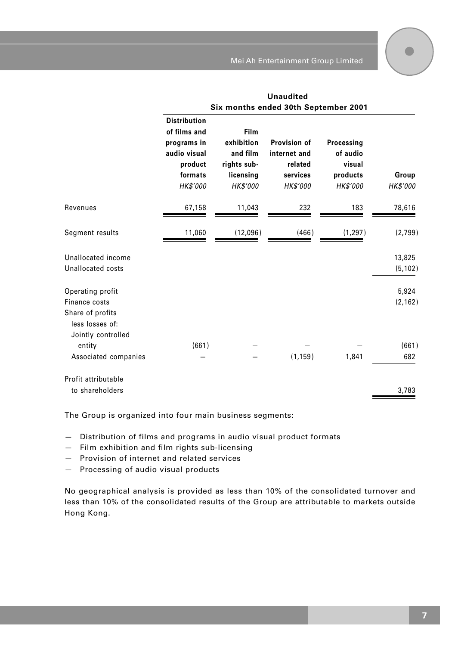|                                                                          | <b>Unaudited</b><br>Six months ended 30th September 2001                                             |                                                                        |                                                                 |                                                          |                    |
|--------------------------------------------------------------------------|------------------------------------------------------------------------------------------------------|------------------------------------------------------------------------|-----------------------------------------------------------------|----------------------------------------------------------|--------------------|
|                                                                          | <b>Distribution</b><br>of films and<br>programs in<br>audio visual<br>product<br>formats<br>HK\$'000 | Film<br>exhibition<br>and film<br>rights sub-<br>licensing<br>HK\$'000 | Provision of<br>internet and<br>related<br>services<br>HK\$'000 | Processing<br>of audio<br>visual<br>products<br>HK\$'000 | Group<br>HK\$'000  |
| Revenues                                                                 | 67,158                                                                                               | 11,043                                                                 | 232                                                             | 183                                                      | 78,616             |
| Segment results                                                          | 11,060                                                                                               | (12,096)                                                               | (466)                                                           | (1, 297)                                                 | (2,799)            |
| Unallocated income<br>Unallocated costs                                  |                                                                                                      |                                                                        |                                                                 |                                                          | 13,825<br>(5, 102) |
| Operating profit<br>Finance costs<br>Share of profits<br>less losses of: |                                                                                                      |                                                                        |                                                                 |                                                          | 5,924<br>(2, 162)  |
| Jointly controlled<br>entity<br>Associated companies                     | (661)                                                                                                |                                                                        | (1, 159)                                                        | 1,841                                                    | (661)<br>682       |
| Profit attributable<br>to shareholders                                   |                                                                                                      |                                                                        |                                                                 |                                                          | 3,783              |

The Group is organized into four main business segments:

— Distribution of films and programs in audio visual product formats

— Film exhibition and film rights sub-licensing

— Provision of internet and related services

— Processing of audio visual products

No geographical analysis is provided as less than 10% of the consolidated turnover and less than 10% of the consolidated results of the Group are attributable to markets outside Hong Kong.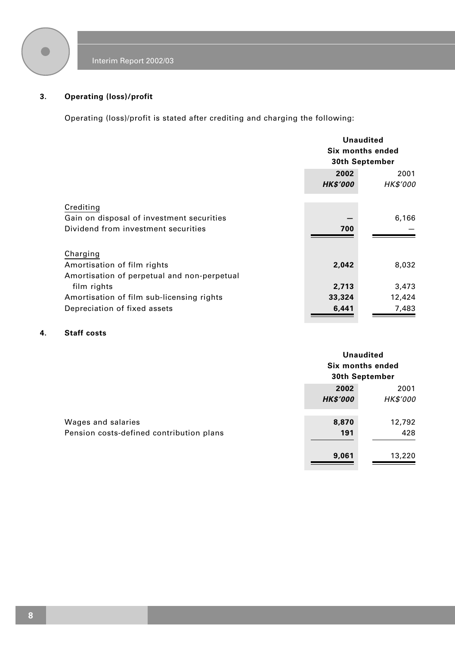

### **3. Operating (loss)/profit**

Operating (loss)/profit is stated after crediting and charging the following:

|                                             | <b>Unaudited</b><br>Six months ended<br>30th September |                         |
|---------------------------------------------|--------------------------------------------------------|-------------------------|
|                                             | 2002<br><b>HK\$'000</b>                                | 2001<br><b>HK\$'000</b> |
| Crediting                                   |                                                        |                         |
| Gain on disposal of investment securities   |                                                        | 6,166                   |
| Dividend from investment securities         | 700                                                    |                         |
| Charging                                    |                                                        |                         |
| Amortisation of film rights                 | 2,042                                                  | 8,032                   |
| Amortisation of perpetual and non-perpetual |                                                        |                         |
| film rights                                 | 2,713                                                  | 3,473                   |
| Amortisation of film sub-licensing rights   | 33,324                                                 | 12,424                  |
| Depreciation of fixed assets                | 6,441                                                  | 7,483                   |

### **4. Staff costs**

|                                          |                          | Unaudited<br>Six months ended<br>30th September |  |
|------------------------------------------|--------------------------|-------------------------------------------------|--|
|                                          | 2002                     | 2001                                            |  |
| Wages and salaries                       | <b>HK\$'000</b><br>8,870 | <b>HK\$'000</b><br>12,792                       |  |
| Pension costs-defined contribution plans | 191                      | 428                                             |  |
|                                          | 9,061                    | 13,220                                          |  |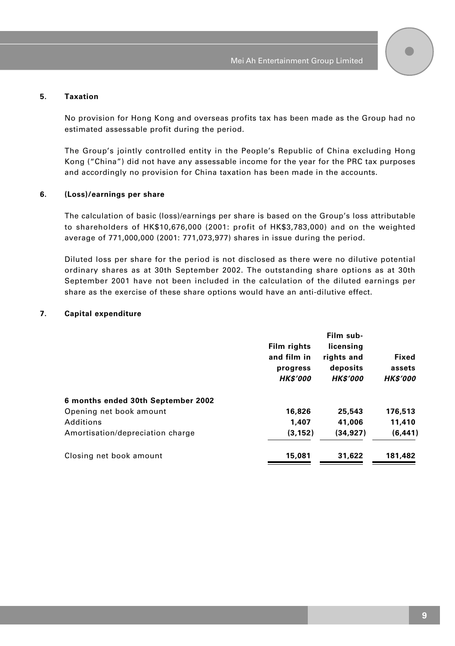#### **5. Taxation**

No provision for Hong Kong and overseas profits tax has been made as the Group had no estimated assessable profit during the period.

The Group's jointly controlled entity in the People's Republic of China excluding Hong Kong ("China") did not have any assessable income for the year for the PRC tax purposes and accordingly no provision for China taxation has been made in the accounts.

#### **6. (Loss)/earnings per share**

The calculation of basic (loss)/earnings per share is based on the Group's loss attributable to shareholders of HK\$10,676,000 (2001: profit of HK\$3,783,000) and on the weighted average of 771,000,000 (2001: 771,073,977) shares in issue during the period.

Diluted loss per share for the period is not disclosed as there were no dilutive potential ordinary shares as at 30th September 2002. The outstanding share options as at 30th September 2001 have not been included in the calculation of the diluted earnings per share as the exercise of these share options would have an anti-dilutive effect.

#### **7. Capital expenditure**

|                                    | Film rights                                | Film sub-<br>licensing                    |                                    |
|------------------------------------|--------------------------------------------|-------------------------------------------|------------------------------------|
|                                    | and film in<br>progress<br><b>HK\$'000</b> | rights and<br>deposits<br><b>HK\$'000</b> | Fixed<br>assets<br><b>HK\$'000</b> |
| 6 months ended 30th September 2002 |                                            |                                           |                                    |
| Opening net book amount            | 16,826                                     | 25,543                                    | 176,513                            |
| Additions                          | 1.407                                      | 41,006                                    | 11,410                             |
| Amortisation/depreciation charge   | (3, 152)                                   | (34.927)                                  | (6, 441)                           |
| Closing net book amount            | 15,081                                     | 31,622                                    | 181.482                            |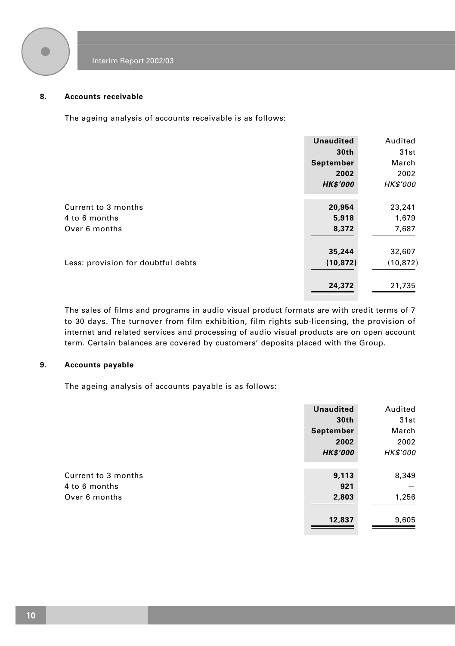

#### **8. Accounts receivable**

The ageing analysis of accounts receivable is as follows:

|                                    | <b>Unaudited</b> | Audited         |
|------------------------------------|------------------|-----------------|
|                                    | 30th             | 31st            |
|                                    | September        | March           |
|                                    | 2002             | 2002            |
|                                    | <b>HK\$'000</b>  | <b>HK\$'000</b> |
|                                    |                  |                 |
| Current to 3 months                | 20,954           | 23,241          |
| 4 to 6 months                      | 5,918            | 1,679           |
| Over 6 months                      | 8,372            | 7,687           |
|                                    | 35,244           | 32,607          |
| Less: provision for doubtful debts | (10, 872)        | (10, 872)       |
|                                    |                  |                 |
|                                    | 24,372           | 21,735          |

The sales of films and programs in audio visual product formats are with credit terms of 7 to 30 days. The turnover from film exhibition, film rights sub-licensing, the provision of internet and related services and processing of audio visual products are on open account term. Certain balances are covered by customers' deposits placed with the Group.

#### **9. Accounts payable**

The ageing analysis of accounts payable is as follows:

|                     | <b>Unaudited</b> | Audited         |
|---------------------|------------------|-----------------|
|                     | 30th             | 31st            |
|                     | September        | March           |
|                     | 2002             | 2002            |
|                     | <b>HK\$'000</b>  | <b>HK\$'000</b> |
|                     |                  |                 |
| Current to 3 months | 9,113            | 8,349           |
| 4 to 6 months       | 921              |                 |
| Over 6 months       | 2,803            | 1,256           |
|                     |                  |                 |
|                     | 12,837           | 9,605           |
|                     |                  |                 |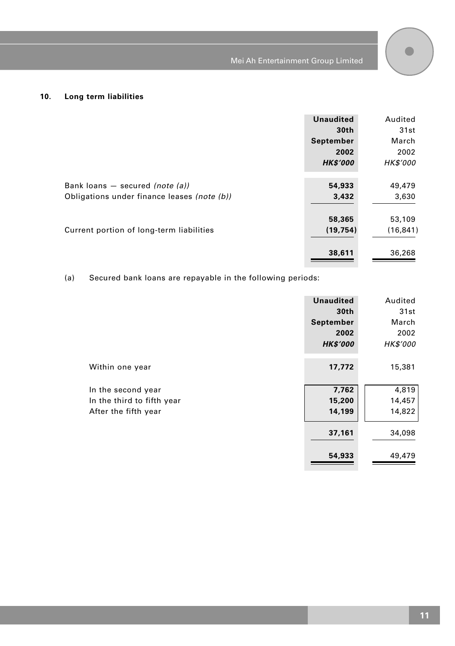$\bullet$ 



|                                             | <b>Unaudited</b> | Audited         |
|---------------------------------------------|------------------|-----------------|
|                                             | 30th             | 31st            |
|                                             | September        | March           |
|                                             | 2002             | 2002            |
|                                             | <b>HK\$'000</b>  | <b>HK\$'000</b> |
|                                             |                  |                 |
| Bank loans $-$ secured (note (a))           | 54,933           | 49,479          |
| Obligations under finance leases (note (b)) | 3,432            | 3,630           |
|                                             |                  |                 |
|                                             | 58,365           | 53,109          |
| Current portion of long-term liabilities    | (19, 754)        | (16, 841)       |
|                                             |                  |                 |
|                                             | 38,611           | 36,268          |
|                                             |                  |                 |

(a) Secured bank loans are repayable in the following periods:

|                            | <b>Unaudited</b> | Audited         |
|----------------------------|------------------|-----------------|
|                            | 30 <sub>th</sub> | 31st            |
|                            | September        | March           |
|                            | 2002             | 2002            |
|                            | <b>HK\$'000</b>  | <b>HK\$'000</b> |
|                            |                  |                 |
| Within one year            | 17,772           | 15,381          |
|                            |                  |                 |
| In the second year         | 7,762            | 4,819           |
| In the third to fifth year | 15,200           | 14,457          |
| After the fifth year       | 14,199           | 14,822          |
|                            |                  |                 |
|                            | 37,161           | 34,098          |
|                            |                  |                 |
|                            | 54,933           | 49,479          |
|                            |                  |                 |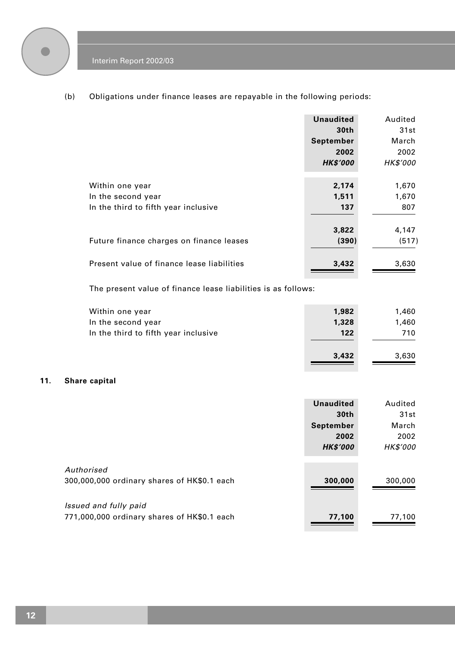

(b) Obligations under finance leases are repayable in the following periods:

|                                            | <b>Unaudited</b>  | Audited         |
|--------------------------------------------|-------------------|-----------------|
|                                            | 30th<br>September | 31st<br>March   |
|                                            | 2002              | 2002            |
|                                            | <b>HK\$'000</b>   | <b>HK\$'000</b> |
|                                            |                   |                 |
| Within one year                            | 2,174             | 1,670           |
| In the second year                         | 1,511             | 1,670           |
| In the third to fifth year inclusive       | 137               | 807             |
|                                            | 3,822             | 4,147           |
| Future finance charges on finance leases   | (390)             | (517)           |
| Present value of finance lease liabilities | 3,432             | 3,630           |

The present value of finance lease liabilities is as follows:

| Within one year                      | 1,982        | 1,460        |
|--------------------------------------|--------------|--------------|
| In the second year                   | 1,328        | 1,460        |
| In the third to fifth year inclusive | 122<br>3,432 | 710<br>3.630 |

#### **11. Share capital**

|                                                                      | <b>Unaudited</b><br>30th | Audited<br>31st |
|----------------------------------------------------------------------|--------------------------|-----------------|
|                                                                      | September<br>2002        | March<br>2002   |
| Authorised                                                           | <b>HK\$'000</b>          | <b>HK\$'000</b> |
| 300,000,000 ordinary shares of HK\$0.1 each                          | 300,000                  | 300,000         |
| Issued and fully paid<br>771,000,000 ordinary shares of HK\$0.1 each | 77,100                   | 77,100          |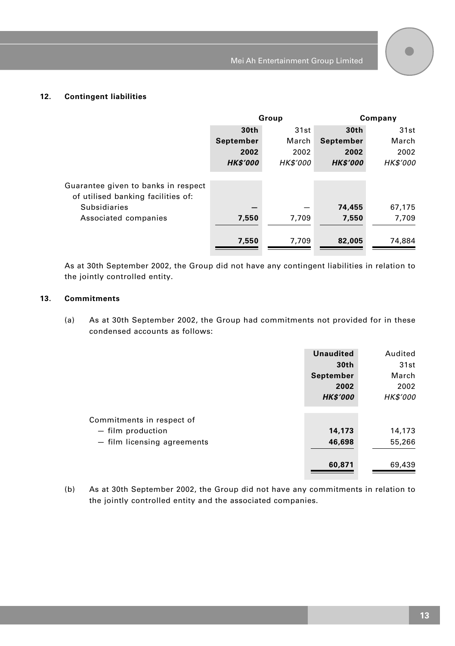#### **12. Contingent liabilities**

|                                                                           | Group           |                 | Company         |                 |
|---------------------------------------------------------------------------|-----------------|-----------------|-----------------|-----------------|
|                                                                           | 30th            | 31st            | 30th            | 31st            |
|                                                                           | September       | March           | September       | March           |
|                                                                           | 2002            | 2002            | 2002            | 2002            |
|                                                                           | <b>HK\$'000</b> | <b>HK\$'000</b> | <b>HK\$'000</b> | <b>HK\$'000</b> |
| Guarantee given to banks in respect<br>of utilised banking facilities of: |                 |                 |                 |                 |
| <b>Subsidiaries</b>                                                       |                 |                 | 74,455          | 67,175          |
| Associated companies                                                      | 7,550           | 7.709           | 7.550           | 7,709           |
|                                                                           | 7,550           | 7,709           | 82,005          | 74,884          |

As at 30th September 2002, the Group did not have any contingent liabilities in relation to the jointly controlled entity.

#### **13. Commitments**

(a) As at 30th September 2002, the Group had commitments not provided for in these condensed accounts as follows:

|                                                                                 | Unaudited                  | Audited                    |
|---------------------------------------------------------------------------------|----------------------------|----------------------------|
|                                                                                 | 30th                       | 31st                       |
|                                                                                 | September                  | March                      |
|                                                                                 | 2002                       | 2002                       |
|                                                                                 | <b>HK\$'000</b>            | <b>HK\$'000</b>            |
| Commitments in respect of<br>$-$ film production<br>- film licensing agreements | 14,173<br>46,698<br>60,871 | 14,173<br>55,266<br>69,439 |

(b) As at 30th September 2002, the Group did not have any commitments in relation to the jointly controlled entity and the associated companies.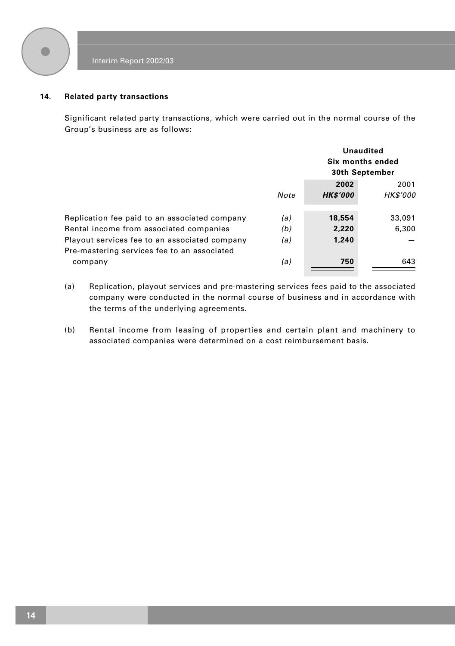

#### **14. Related party transactions**

Significant related party transactions, which were carried out in the normal course of the Group's business are as follows:

|                                                                                              |            |                         | Unaudited<br>Six months ended<br>30th September |
|----------------------------------------------------------------------------------------------|------------|-------------------------|-------------------------------------------------|
|                                                                                              | Note       | 2002<br><b>HK\$'000</b> | 2001<br>HK\$'000                                |
| Replication fee paid to an associated company<br>Rental income from associated companies     | (a)<br>(b) | 18,554<br>2,220         | 33,091<br>6,300                                 |
| Playout services fee to an associated company<br>Pre-mastering services fee to an associated | (a)        | 1,240                   |                                                 |
| company                                                                                      | (a)        | 750                     | 643                                             |

- (a) Replication, playout services and pre-mastering services fees paid to the associated company were conducted in the normal course of business and in accordance with the terms of the underlying agreements.
- (b) Rental income from leasing of properties and certain plant and machinery to associated companies were determined on a cost reimbursement basis.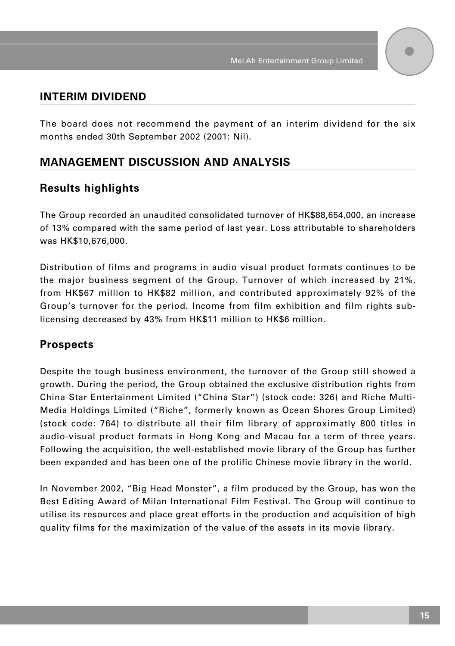### **INTERIM DIVIDEND**

The board does not recommend the payment of an interim dividend for the six months ended 30th September 2002 (2001: Nil).

## **MANAGEMENT DISCUSSION AND ANALYSIS**

### **Results highlights**

The Group recorded an unaudited consolidated turnover of HK\$88,654,000, an increase of 13% compared with the same period of last year. Loss attributable to shareholders was HK\$10,676,000.

Distribution of films and programs in audio visual product formats continues to be the major business segment of the Group. Turnover of which increased by 21%, from HK\$67 million to HK\$82 million, and contributed approximately 92% of the Group's turnover for the period. Income from film exhibition and film rights sublicensing decreased by 43% from HK\$11 million to HK\$6 million.

### **Prospects**

Despite the tough business environment, the turnover of the Group still showed a growth. During the period, the Group obtained the exclusive distribution rights from China Star Entertainment Limited ("China Star") (stock code: 326) and Riche Multi-Media Holdings Limited ("Riche", formerly known as Ocean Shores Group Limited) (stock code: 764) to distribute all their film library of approximatly 800 titles in audio-visual product formats in Hong Kong and Macau for a term of three years. Following the acquisition, the well-established movie library of the Group has further been expanded and has been one of the prolific Chinese movie library in the world.

In November 2002, "Big Head Monster", a film produced by the Group, has won the Best Editing Award of Milan International Film Festival. The Group will continue to utilise its resources and place great efforts in the production and acquisition of high quality films for the maximization of the value of the assets in its movie library.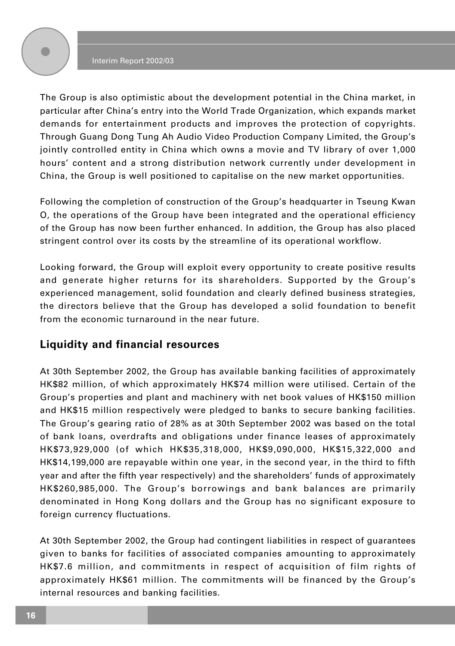#### Interim Report 2002/03

The Group is also optimistic about the development potential in the China market, in particular after China's entry into the World Trade Organization, which expands market demands for entertainment products and improves the protection of copyrights. Through Guang Dong Tung Ah Audio Video Production Company Limited, the Group's jointly controlled entity in China which owns a movie and TV library of over 1,000 hours' content and a strong distribution network currently under development in China, the Group is well positioned to capitalise on the new market opportunities.

Following the completion of construction of the Group's headquarter in Tseung Kwan O, the operations of the Group have been integrated and the operational efficiency of the Group has now been further enhanced. In addition, the Group has also placed stringent control over its costs by the streamline of its operational workflow.

Looking forward, the Group will exploit every opportunity to create positive results and generate higher returns for its shareholders. Supported by the Group's experienced management, solid foundation and clearly defined business strategies, the directors believe that the Group has developed a solid foundation to benefit from the economic turnaround in the near future.

## **Liquidity and financial resources**

At 30th September 2002, the Group has available banking facilities of approximately HK\$82 million, of which approximately HK\$74 million were utilised. Certain of the Group's properties and plant and machinery with net book values of HK\$150 million and HK\$15 million respectively were pledged to banks to secure banking facilities. The Group's gearing ratio of 28% as at 30th September 2002 was based on the total of bank loans, overdrafts and obligations under finance leases of approximately HK\$73,929,000 (of which HK\$35,318,000, HK\$9,090,000, HK\$15,322,000 and HK\$14,199,000 are repayable within one year, in the second year, in the third to fifth year and after the fifth year respectively) and the shareholders' funds of approximately HK\$260,985,000. The Group's borrowings and bank balances are primarily denominated in Hong Kong dollars and the Group has no significant exposure to foreign currency fluctuations.

At 30th September 2002, the Group had contingent liabilities in respect of guarantees given to banks for facilities of associated companies amounting to approximately HK\$7.6 million, and commitments in respect of acquisition of film rights of approximately HK\$61 million. The commitments will be financed by the Group's internal resources and banking facilities.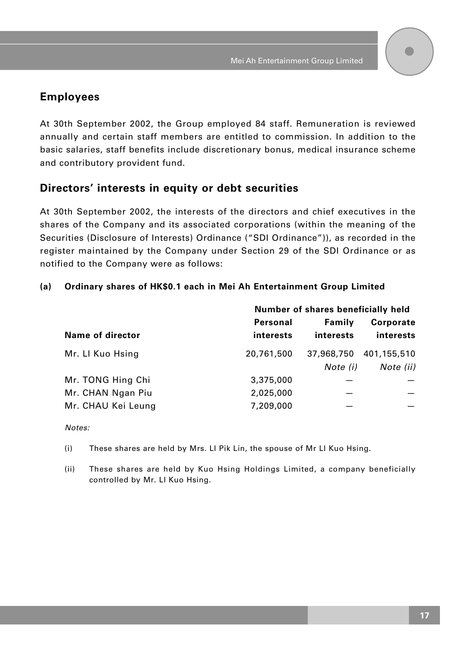### **Employees**

At 30th September 2002, the Group employed 84 staff. Remuneration is reviewed annually and certain staff members are entitled to commission. In addition to the basic salaries, staff benefits include discretionary bonus, medical insurance scheme and contributory provident fund.

### **Directors' interests in equity or debt securities**

At 30th September 2002, the interests of the directors and chief executives in the shares of the Company and its associated corporations (within the meaning of the Securities (Disclosure of Interests) Ordinance ("SDI Ordinance")), as recorded in the register maintained by the Company under Section 29 of the SDI Ordinance or as notified to the Company were as follows:

### **(a) Ordinary shares of HK\$0.1 each in Mei Ah Entertainment Group Limited**

| Number of shares beneficially held |            |                  |
|------------------------------------|------------|------------------|
| Personal                           | Family     | <b>Corporate</b> |
| interests                          | interests  | interests        |
| 20,761,500                         | 37,968,750 | 401,155,510      |
|                                    | Note (i)   | Note (ii)        |
| 3,375,000                          |            |                  |
| 2,025,000                          |            |                  |
| 7,209,000                          |            |                  |
|                                    |            |                  |

Notes:

- (i) These shares are held by Mrs. LI Pik Lin, the spouse of Mr LI Kuo Hsing.
- (ii) These shares are held by Kuo Hsing Holdings Limited, a company beneficially controlled by Mr. LI Kuo Hsing.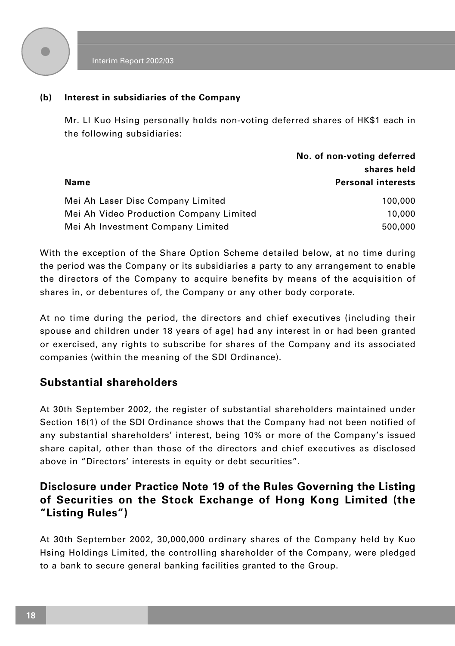

#### **(b) Interest in subsidiaries of the Company**

Mr. LI Kuo Hsing personally holds non-voting deferred shares of HK\$1 each in the following subsidiaries:

|                                         | No. of non-voting deferred |  |
|-----------------------------------------|----------------------------|--|
|                                         | shares held                |  |
| Name                                    | <b>Personal interests</b>  |  |
| Mei Ah Laser Disc Company Limited       | 100,000                    |  |
| Mei Ah Video Production Company Limited | 10,000                     |  |
| Mei Ah Investment Company Limited       | 500,000                    |  |

With the exception of the Share Option Scheme detailed below, at no time during the period was the Company or its subsidiaries a party to any arrangement to enable the directors of the Company to acquire benefits by means of the acquisition of shares in, or debentures of, the Company or any other body corporate.

At no time during the period, the directors and chief executives (including their spouse and children under 18 years of age) had any interest in or had been granted or exercised, any rights to subscribe for shares of the Company and its associated companies (within the meaning of the SDI Ordinance).

### **Substantial shareholders**

At 30th September 2002, the register of substantial shareholders maintained under Section 16(1) of the SDI Ordinance shows that the Company had not been notified of any substantial shareholders' interest, being 10% or more of the Company's issued share capital, other than those of the directors and chief executives as disclosed above in "Directors' interests in equity or debt securities".

## **Disclosure under Practice Note 19 of the Rules Governing the Listing of Securities on the Stock Exchange of Hong Kong Limited (the "Listing Rules")**

At 30th September 2002, 30,000,000 ordinary shares of the Company held by Kuo Hsing Holdings Limited, the controlling shareholder of the Company, were pledged to a bank to secure general banking facilities granted to the Group.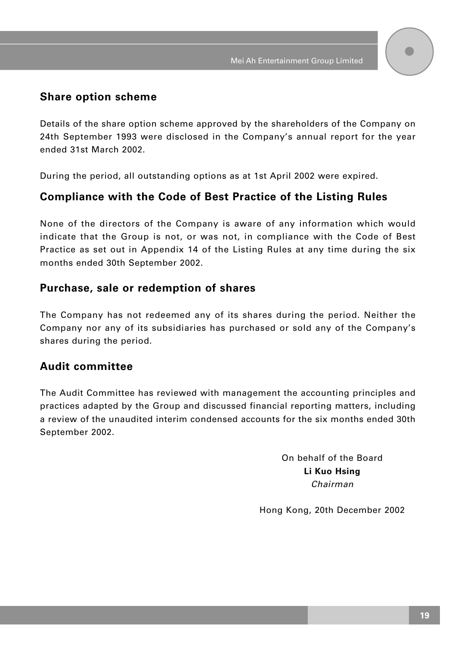### **Share option scheme**

Details of the share option scheme approved by the shareholders of the Company on 24th September 1993 were disclosed in the Company's annual report for the year ended 31st March 2002.

During the period, all outstanding options as at 1st April 2002 were expired.

## **Compliance with the Code of Best Practice of the Listing Rules**

None of the directors of the Company is aware of any information which would indicate that the Group is not, or was not, in compliance with the Code of Best Practice as set out in Appendix 14 of the Listing Rules at any time during the six months ended 30th September 2002.

### **Purchase, sale or redemption of shares**

The Company has not redeemed any of its shares during the period. Neither the Company nor any of its subsidiaries has purchased or sold any of the Company's shares during the period.

## **Audit committee**

The Audit Committee has reviewed with management the accounting principles and practices adapted by the Group and discussed financial reporting matters, including a review of the unaudited interim condensed accounts for the six months ended 30th September 2002.

> On behalf of the Board **Li Kuo Hsing** Chairman

Hong Kong, 20th December 2002